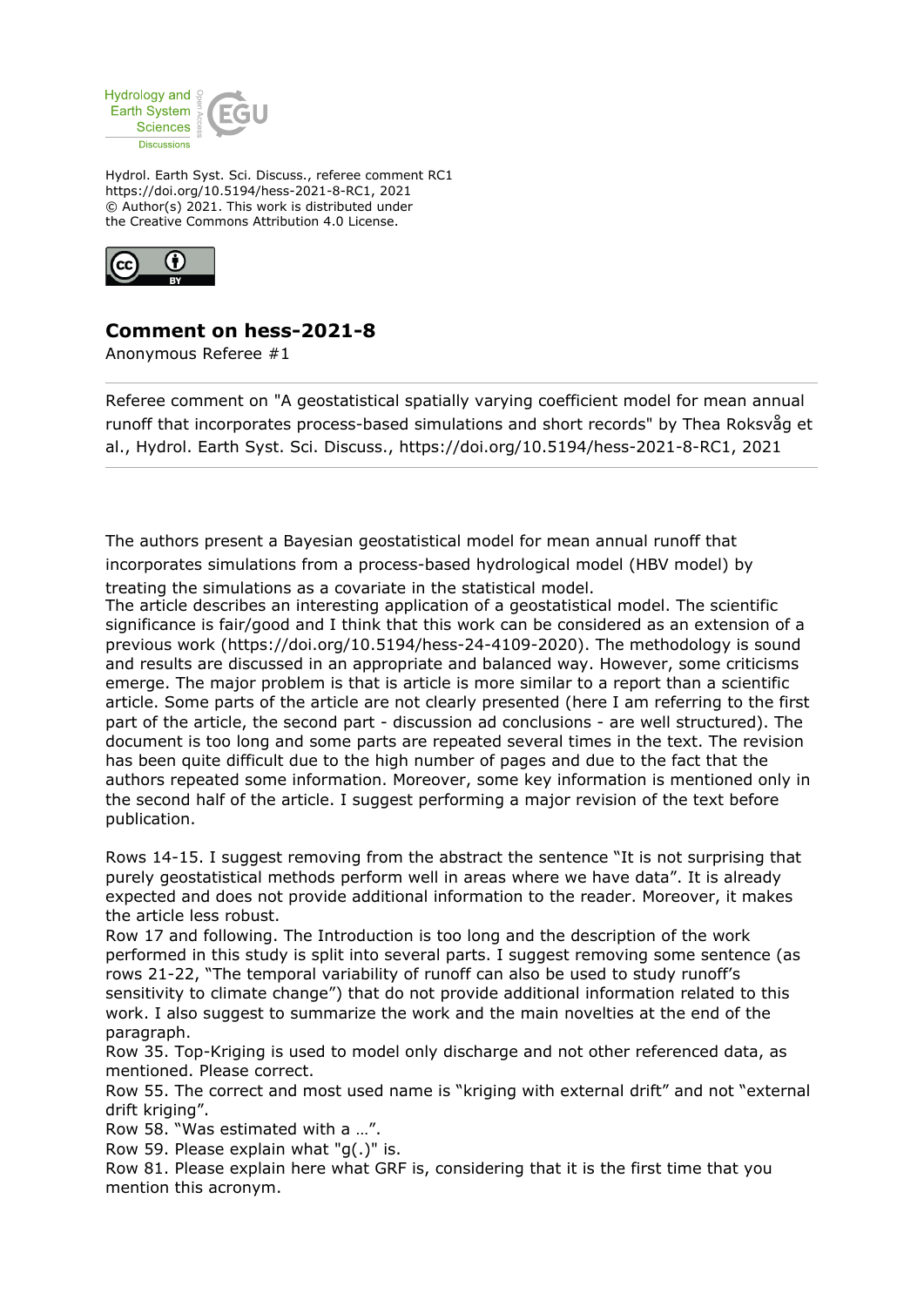

Hydrol. Earth Syst. Sci. Discuss., referee comment RC1 https://doi.org/10.5194/hess-2021-8-RC1, 2021 © Author(s) 2021. This work is distributed under the Creative Commons Attribution 4.0 License.



## **Comment on hess-2021-8**

Anonymous Referee #1

Referee comment on "A geostatistical spatially varying coefficient model for mean annual runoff that incorporates process-based simulations and short records" by Thea Roksvåg et al., Hydrol. Earth Syst. Sci. Discuss., https://doi.org/10.5194/hess-2021-8-RC1, 2021

The authors present a Bayesian geostatistical model for mean annual runoff that incorporates simulations from a process-based hydrological model (HBV model) by treating the simulations as a covariate in the statistical model.

The article describes an interesting application of a geostatistical model. The scientific significance is fair/good and I think that this work can be considered as an extension of a previous work (https://doi.org/10.5194/hess-24-4109-2020). The methodology is sound and results are discussed in an appropriate and balanced way. However, some criticisms emerge. The major problem is that is article is more similar to a report than a scientific article. Some parts of the article are not clearly presented (here I am referring to the first part of the article, the second part - discussion ad conclusions - are well structured). The document is too long and some parts are repeated several times in the text. The revision has been quite difficult due to the high number of pages and due to the fact that the authors repeated some information. Moreover, some key information is mentioned only in the second half of the article. I suggest performing a major revision of the text before publication.

Rows 14-15. I suggest removing from the abstract the sentence "It is not surprising that purely geostatistical methods perform well in areas where we have data". It is already expected and does not provide additional information to the reader. Moreover, it makes the article less robust.

Row 17 and following. The Introduction is too long and the description of the work performed in this study is split into several parts. I suggest removing some sentence (as rows 21-22, "The temporal variability of runoff can also be used to study runoff's sensitivity to climate change") that do not provide additional information related to this work. I also suggest to summarize the work and the main novelties at the end of the paragraph.

Row 35. Top-Kriging is used to model only discharge and not other referenced data, as mentioned. Please correct.

Row 55. The correct and most used name is "kriging with external drift" and not "external drift kriging".

Row 58. "Was estimated with a …".

Row 59. Please explain what "g(.)" is.

Row 81. Please explain here what GRF is, considering that it is the first time that you mention this acronym.